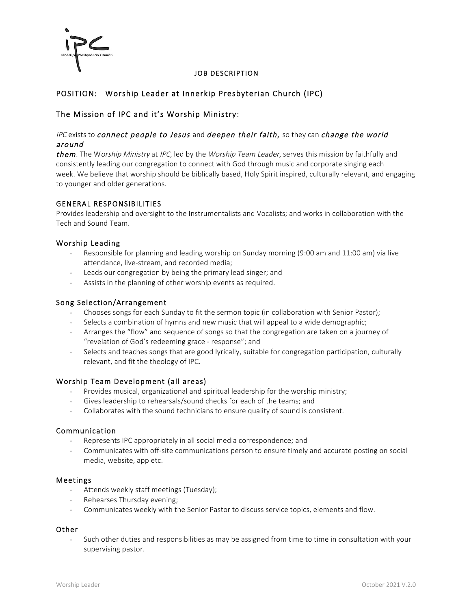

## JOB DESCRIPTION

# POSITION: Worship Leader at Innerkip Presbyterian Church (IPC)

# The Mission of IPC and it's Worship Ministry:

## IPC exists to connect people to Jesus and deepen their faith, so they can change the world around

them. The Worship Ministry at IPC, led by the Worship Team Leader, serves this mission by faithfully and consistently leading our congregation to connect with God through music and corporate singing each week. We believe that worship should be biblically based, Holy Spirit inspired, culturally relevant, and engaging to younger and older generations.

### GENERAL RESPONSIBILITIES

Provides leadership and oversight to the Instrumentalists and Vocalists; and works in collaboration with the Tech and Sound Team.

### Worship Leading

- Responsible for planning and leading worship on Sunday morning (9:00 am and 11:00 am) via live attendance, live-stream, and recorded media;
- Leads our congregation by being the primary lead singer; and
- Assists in the planning of other worship events as required.

#### Song Selection/Arrangement

- Chooses songs for each Sunday to fit the sermon topic (in collaboration with Senior Pastor);
- Selects a combination of hymns and new music that will appeal to a wide demographic;
- Arranges the "flow" and sequence of songs so that the congregation are taken on a journey of "revelation of God's redeeming grace - response"; and
- Selects and teaches songs that are good lyrically, suitable for congregation participation, culturally relevant, and fit the theology of IPC.

#### Worship Team Development (all areas)

- Provides musical, organizational and spiritual leadership for the worship ministry;
- Gives leadership to rehearsals/sound checks for each of the teams; and
- Collaborates with the sound technicians to ensure quality of sound is consistent.

#### Communication

- Represents IPC appropriately in all social media correspondence; and
- Communicates with off-site communications person to ensure timely and accurate posting on social media, website, app etc.

#### Meetings

- Attends weekly staff meetings (Tuesday);
- Rehearses Thursday evening;
- Communicates weekly with the Senior Pastor to discuss service topics, elements and flow.

# Other

• Such other duties and responsibilities as may be assigned from time to time in consultation with your supervising pastor.